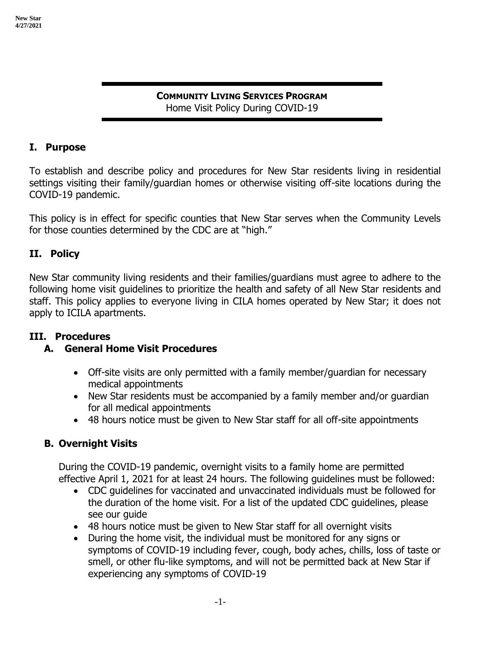#### **COMMUNITY LIVING SERVICES PROGRAM** Home Visit Policy During COVID-19

#### **I. Purpose**

To establish and describe policy and procedures for New Star residents living in residential settings visiting their family/guardian homes or otherwise visiting off-site locations during the COVID-19 pandemic.

This policy is in effect for specific counties that New Star serves when the Community Levels for those counties determined by the CDC are at "high."

#### **II. Policy**

New Star community living residents and their families/guardians must agree to adhere to the following home visit guidelines to prioritize the health and safety of all New Star residents and staff. This policy applies to everyone living in CILA homes operated by New Star; it does not apply to ICILA apartments.

## **III. Procedures**

## **A. General Home Visit Procedures**

- Off-site visits are only permitted with a family member/guardian for necessary medical appointments
- New Star residents must be accompanied by a family member and/or quardian for all medical appointments
- 48 hours notice must be given to New Star staff for all off-site appointments

## **B. Overnight Visits**

During the COVID-19 pandemic, overnight visits to a family home are permitted effective April 1, 2021 for at least 24 hours. The following guidelines must be followed:

- CDC guidelines for vaccinated and unvaccinated individuals must be followed for the duration of the home visit. For a list of the updated CDC guidelines, please see our guide
- 48 hours notice must be given to New Star staff for all overnight visits
- During the home visit, the individual must be monitored for any signs or symptoms of COVID-19 including fever, cough, body aches, chills, loss of taste or smell, or other flu-like symptoms, and will not be permitted back at New Star if experiencing any symptoms of COVID-19